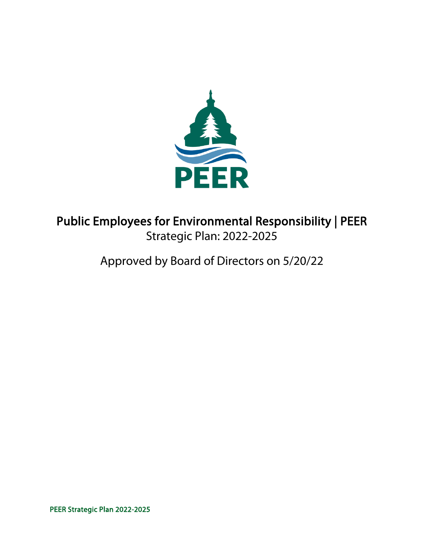

# Public Employees for Environmental Responsibility | PEER Strategic Plan: 2022-2025

# Approved by Board of Directors on 5/20/22

PEER Strategic Plan 2022-2025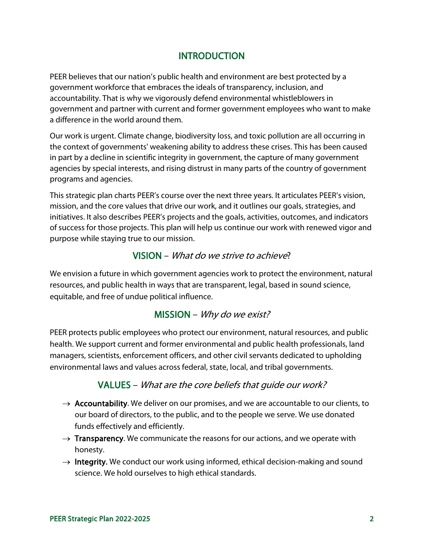### **INTRODUCTION**

PEER believes that our nation's public health and environment are best protected by a government workforce that embraces the ideals of transparency, inclusion, and accountability. That is why we vigorously defend environmental whistleblowers in government and partner with current and former government employees who want to make a difference in the world around them.

Our work is urgent. Climate change, biodiversity loss, and toxic pollution are all occurring in the context of governments' weakening ability to address these crises. This has been caused in part by a decline in scientific integrity in government, the capture of many government agencies by special interests, and rising distrust in many parts of the country of government programs and agencies.

This strategic plan charts PEER's course over the next three years. It articulates PEER's vision, mission, and the core values that drive our work, and it outlines our goals, strategies, and initiatives. It also describes PEER's projects and the goals, activities, outcomes, and indicators of success for those projects. This plan will help us continue our work with renewed vigor and purpose while staying true to our mission.

### VISION – What do we strive to achieve?

We envision a future in which government agencies work to protect the environment, natural resources, and public health in ways that are transparent, legal, based in sound science, equitable, and free of undue political influence.

### MISSION – Why do we exist?

PEER protects public employees who protect our environment, natural resources, and public health. We support current and former environmental and public health professionals, land managers, scientists, enforcement officers, and other civil servants dedicated to upholding environmental laws and values across federal, state, local, and tribal governments.

### VALUES – What are the core beliefs that guide our work?

- $\rightarrow$  Accountability. We deliver on our promises, and we are accountable to our clients, to our board of directors, to the public, and to the people we serve. We use donated funds effectively and efficiently.
- $\rightarrow$  Transparency. We communicate the reasons for our actions, and we operate with honesty.
- $\rightarrow$  Integrity. We conduct our work using informed, ethical decision-making and sound science. We hold ourselves to high ethical standards.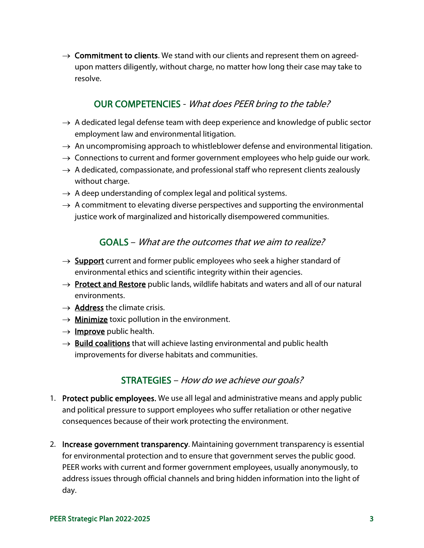$\rightarrow$  Commitment to clients. We stand with our clients and represent them on agreedupon matters diligently, without charge, no matter how long their case may take to resolve.

### OUR COMPETENCIES - What does PEER bring to the table?

- $\rightarrow$  A dedicated legal defense team with deep experience and knowledge of public sector employment law and environmental litigation.
- $\rightarrow$  An uncompromising approach to whistleblower defense and environmental litigation.
- $\rightarrow$  Connections to current and former government employees who help guide our work.
- $\rightarrow$  A dedicated, compassionate, and professional staff who represent clients zealously without charge.
- $\rightarrow$  A deep understanding of complex legal and political systems.
- $\rightarrow$  A commitment to elevating diverse perspectives and supporting the environmental justice work of marginalized and historically disempowered communities.

### GOALS – What are the outcomes that we aim to realize?

- $\rightarrow$  Support current and former public employees who seek a higher standard of environmental ethics and scientific integrity within their agencies.
- $\rightarrow$  Protect and Restore public lands, wildlife habitats and waters and all of our natural environments.
- $\rightarrow$  Address the climate crisis.
- $\rightarrow$  Minimize toxic pollution in the environment.
- $\rightarrow$  Improve public health.
- $\rightarrow$  Build coalitions that will achieve lasting environmental and public health improvements for diverse habitats and communities.

### STRATEGIES – How do we achieve our goals?

- 1. Protect public employees. We use all legal and administrative means and apply public and political pressure to support employees who suffer retaliation or other negative consequences because of their work protecting the environment.
- 2. Increase government transparency. Maintaining government transparency is essential for environmental protection and to ensure that government serves the public good. PEER works with current and former government employees, usually anonymously, to address issues through official channels and bring hidden information into the light of day.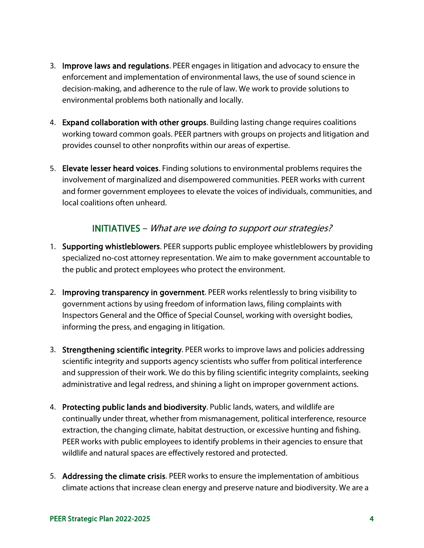- 3. Improve laws and regulations. PEER engages in litigation and advocacy to ensure the enforcement and implementation of environmental laws, the use of sound science in decision-making, and adherence to the rule of law. We work to provide solutions to environmental problems both nationally and locally.
- 4. Expand collaboration with other groups. Building lasting change requires coalitions working toward common goals. PEER partners with groups on projects and litigation and provides counsel to other nonprofits within our areas of expertise.
- 5. Elevate lesser heard voices. Finding solutions to environmental problems requires the involvement of marginalized and disempowered communities. PEER works with current and former government employees to elevate the voices of individuals, communities, and local coalitions often unheard.

### INITIATIVES – What are we doing to support our strategies?

- 1. Supporting whistleblowers. PEER supports public employee whistleblowers by providing specialized no-cost attorney representation. We aim to make government accountable to the public and protect employees who protect the environment.
- 2. Improving transparency in government. PEER works relentlessly to bring visibility to government actions by using freedom of information laws, filing complaints with Inspectors General and the Office of Special Counsel, working with oversight bodies, informing the press, and engaging in litigation.
- 3. Strengthening scientific integrity. PEER works to improve laws and policies addressing scientific integrity and supports agency scientists who suffer from political interference and suppression of their work. We do this by filing scientific integrity complaints, seeking administrative and legal redress, and shining a light on improper government actions.
- 4. Protecting public lands and biodiversity. Public lands, waters, and wildlife are continually under threat, whether from mismanagement, political interference, resource extraction, the changing climate, habitat destruction, or excessive hunting and fishing. PEER works with public employees to identify problems in their agencies to ensure that wildlife and natural spaces are effectively restored and protected.
- 5. Addressing the climate crisis. PEER works to ensure the implementation of ambitious climate actions that increase clean energy and preserve nature and biodiversity. We are a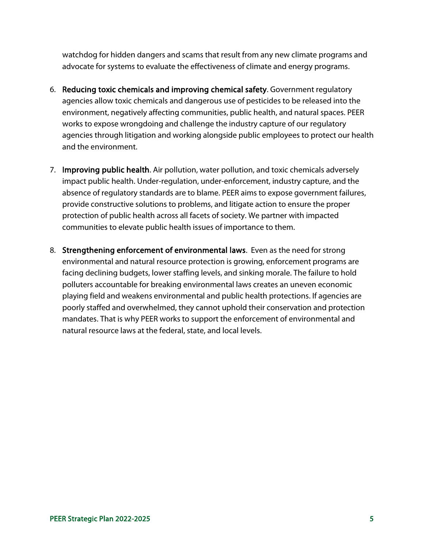watchdog for hidden dangers and scams that result from any new climate programs and advocate for systems to evaluate the effectiveness of climate and energy programs.

- 6. Reducing toxic chemicals and improving chemical safety. Government regulatory agencies allow toxic chemicals and dangerous use of pesticides to be released into the environment, negatively affecting communities, public health, and natural spaces. PEER works to expose wrongdoing and challenge the industry capture of our regulatory agencies through litigation and working alongside public employees to protect our health and the environment.
- 7. Improving public health. Air pollution, water pollution, and toxic chemicals adversely impact public health. Under-regulation, under-enforcement, industry capture, and the absence of regulatory standards are to blame. PEER aims to expose government failures, provide constructive solutions to problems, and litigate action to ensure the proper protection of public health across all facets of society. We partner with impacted communities to elevate public health issues of importance to them.
- 8. Strengthening enforcement of environmental laws. Even as the need for strong environmental and natural resource protection is growing, enforcement programs are facing declining budgets, lower staffing levels, and sinking morale. The failure to hold polluters accountable for breaking environmental laws creates an uneven economic playing field and weakens environmental and public health protections. If agencies are poorly staffed and overwhelmed, they cannot uphold their conservation and protection mandates. That is why PEER works to support the enforcement of environmental and natural resource laws at the federal, state, and local levels.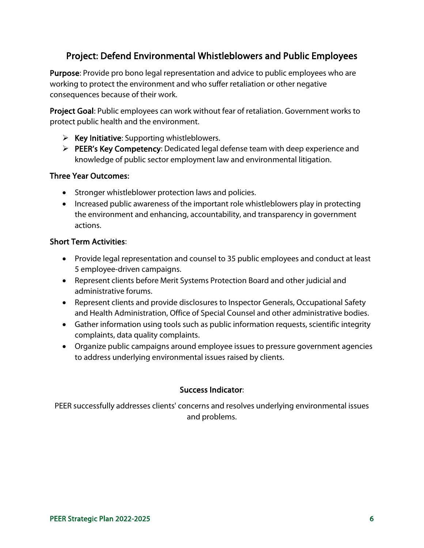# Project: Defend Environmental Whistleblowers and Public Employees

Purpose: Provide pro bono legal representation and advice to public employees who are working to protect the environment and who suffer retaliation or other negative consequences because of their work.

Project Goal: Public employees can work without fear of retaliation. Government works to protect public health and the environment.

- $\triangleright$  Key Initiative: Supporting whistleblowers.
- **PEER's Key Competency:** Dedicated legal defense team with deep experience and knowledge of public sector employment law and environmental litigation.

#### Three Year Outcomes:

- Stronger whistleblower protection laws and policies.
- Increased public awareness of the important role whistleblowers play in protecting the environment and enhancing, accountability, and transparency in government actions.

#### Short Term Activities:

- Provide legal representation and counsel to 35 public employees and conduct at least 5 employee-driven campaigns.
- Represent clients before Merit Systems Protection Board and other judicial and administrative forums.
- Represent clients and provide disclosures to Inspector Generals, Occupational Safety and Health Administration, Office of Special Counsel and other administrative bodies.
- Gather information using tools such as public information requests, scientific integrity complaints, data quality complaints.
- Organize public campaigns around employee issues to pressure government agencies to address underlying environmental issues raised by clients.

#### Success Indicator:

PEER successfully addresses clients' concerns and resolves underlying environmental issues and problems.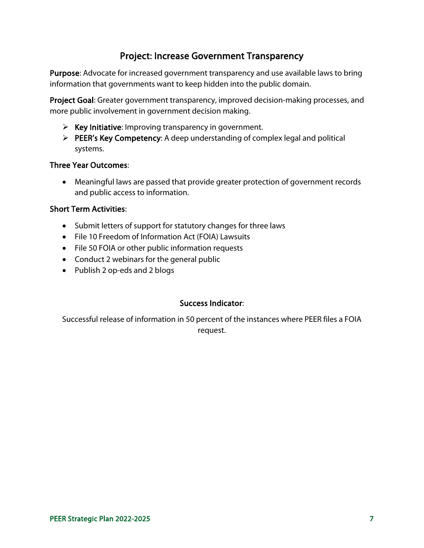# Project: Increase Government Transparency

Purpose: Advocate for increased government transparency and use available laws to bring information that governments want to keep hidden into the public domain.

Project Goal: Greater government transparency, improved decision-making processes, and more public involvement in government decision making.

- $\triangleright$  Key Initiative: Improving transparency in government.
- $\triangleright$  PEER's Key Competency: A deep understanding of complex legal and political systems.

#### Three Year Outcomes:

• Meaningful laws are passed that provide greater protection of government records and public access to information.

#### Short Term Activities:

- Submit letters of support for statutory changes for three laws
- File 10 Freedom of Information Act (FOIA) Lawsuits
- File 50 FOIA or other public information requests
- Conduct 2 webinars for the general public
- Publish 2 op-eds and 2 blogs

#### Success Indicator:

Successful release of information in 50 percent of the instances where PEER files a FOIA request.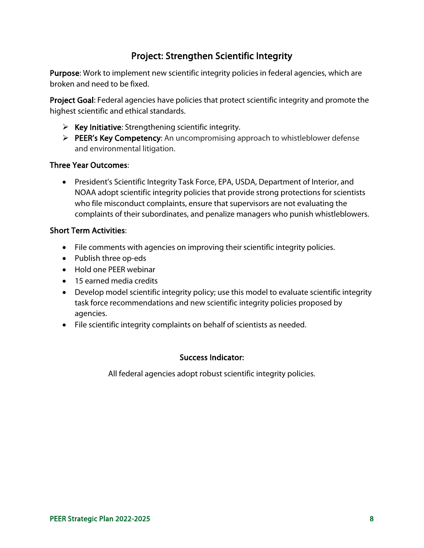# Project: Strengthen Scientific Integrity

Purpose: Work to implement new scientific integrity policies in federal agencies, which are broken and need to be fixed.

Project Goal: Federal agencies have policies that protect scientific integrity and promote the highest scientific and ethical standards.

- $\triangleright$  Key Initiative: Strengthening scientific integrity.
- PEER's Key Competency: An uncompromising approach to whistleblower defense and environmental litigation.

#### Three Year Outcomes:

• President's Scientific Integrity Task Force, EPA, USDA, Department of Interior, and NOAA adopt scientific integrity policies that provide strong protections for scientists who file misconduct complaints, ensure that supervisors are not evaluating the complaints of their subordinates, and penalize managers who punish whistleblowers.

### Short Term Activities:

- File comments with agencies on improving their scientific integrity policies.
- Publish three op-eds
- Hold one PEER webinar
- 15 earned media credits
- Develop model scientific integrity policy; use this model to evaluate scientific integrity task force recommendations and new scientific integrity policies proposed by agencies.
- File scientific integrity complaints on behalf of scientists as needed.

### Success Indicator:

All federal agencies adopt robust scientific integrity policies.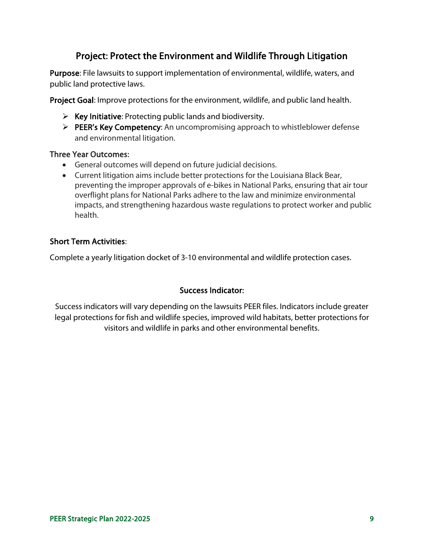# Project: Protect the Environment and Wildlife Through Litigation

Purpose: File lawsuits to support implementation of environmental, wildlife, waters, and public land protective laws.

Project Goal: Improve protections for the environment, wildlife, and public land health.

- $\triangleright$  Key Initiative: Protecting public lands and biodiversity.
- PEER's Key Competency: An uncompromising approach to whistleblower defense and environmental litigation.

#### Three Year Outcomes:

- General outcomes will depend on future judicial decisions.
- Current litigation aims include better protections for the Louisiana Black Bear, preventing the improper approvals of e-bikes in National Parks, ensuring that air tour overflight plans for National Parks adhere to the law and minimize environmental impacts, and strengthening hazardous waste regulations to protect worker and public health.

#### Short Term Activities:

Complete a yearly litigation docket of 3-10 environmental and wildlife protection cases.

#### Success Indicator:

Success indicators will vary depending on the lawsuits PEER files. Indicators include greater legal protections for fish and wildlife species, improved wild habitats, better protections for visitors and wildlife in parks and other environmental benefits.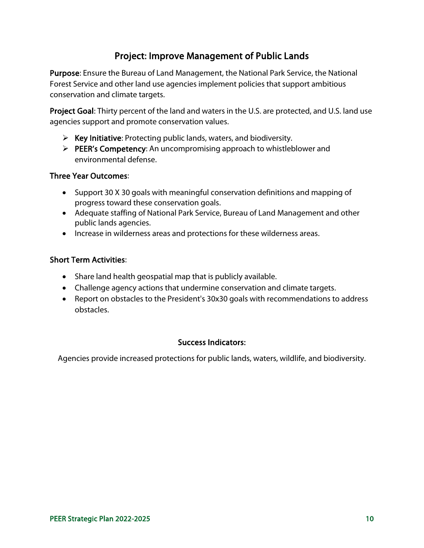# Project: Improve Management of Public Lands

Purpose: Ensure the Bureau of Land Management, the National Park Service, the National Forest Service and other land use agencies implement policies that support ambitious conservation and climate targets.

Project Goal: Thirty percent of the land and waters in the U.S. are protected, and U.S. land use agencies support and promote conservation values.

- $\triangleright$  Key Initiative: Protecting public lands, waters, and biodiversity.
- $\triangleright$  PEER's Competency: An uncompromising approach to whistleblower and environmental defense.

#### Three Year Outcomes:

- Support 30 X 30 goals with meaningful conservation definitions and mapping of progress toward these conservation goals.
- Adequate staffing of National Park Service, Bureau of Land Management and other public lands agencies.
- Increase in wilderness areas and protections for these wilderness areas.

#### Short Term Activities:

- Share land health geospatial map that is publicly available.
- Challenge agency actions that undermine conservation and climate targets.
- Report on obstacles to the President's 30x30 goals with recommendations to address obstacles.

#### Success Indicators:

Agencies provide increased protections for public lands, waters, wildlife, and biodiversity.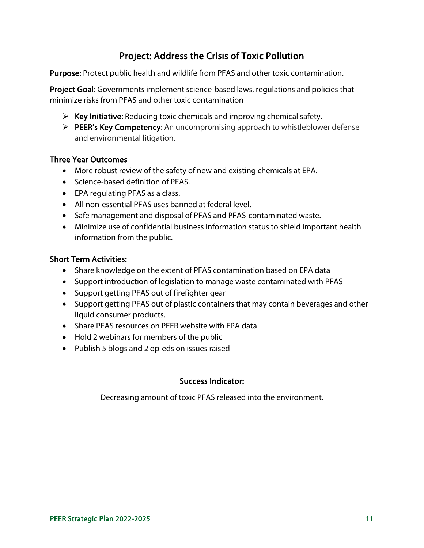# Project: Address the Crisis of Toxic Pollution

Purpose: Protect public health and wildlife from PFAS and other toxic contamination.

Project Goal: Governments implement science-based laws, regulations and policies that minimize risks from PFAS and other toxic contamination

- $\triangleright$  Key Initiative: Reducing toxic chemicals and improving chemical safety.
- PEER's Key Competency: An uncompromising approach to whistleblower defense and environmental litigation.

#### Three Year Outcomes

- More robust review of the safety of new and existing chemicals at EPA.
- Science-based definition of PFAS.
- EPA regulating PFAS as a class.
- All non-essential PFAS uses banned at federal level.
- Safe management and disposal of PFAS and PFAS-contaminated waste.
- Minimize use of confidential business information status to shield important health information from the public.

#### Short Term Activities:

- Share knowledge on the extent of PFAS contamination based on EPA data
- Support introduction of legislation to manage waste contaminated with PFAS
- Support getting PFAS out of firefighter gear
- Support getting PFAS out of plastic containers that may contain beverages and other liquid consumer products.
- Share PFAS resources on PEER website with EPA data
- Hold 2 webinars for members of the public
- Publish 5 blogs and 2 op-eds on issues raised

#### Success Indicator:

Decreasing amount of toxic PFAS released into the environment.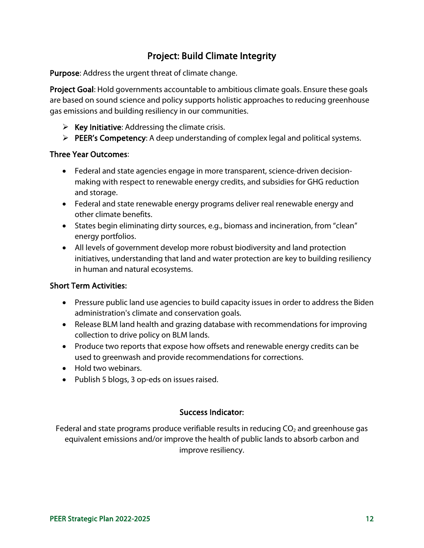# Project: Build Climate Integrity

Purpose: Address the urgent threat of climate change.

Project Goal: Hold governments accountable to ambitious climate goals. Ensure these goals are based on sound science and policy supports holistic approaches to reducing greenhouse gas emissions and building resiliency in our communities.

- $\triangleright$  Key Initiative: Addressing the climate crisis.
- PEER's Competency: A deep understanding of complex legal and political systems.

#### Three Year Outcomes:

- Federal and state agencies engage in more transparent, science-driven decisionmaking with respect to renewable energy credits, and subsidies for GHG reduction and storage.
- Federal and state renewable energy programs deliver real renewable energy and other climate benefits.
- States begin eliminating dirty sources, e.g., biomass and incineration, from "clean" energy portfolios.
- All levels of government develop more robust biodiversity and land protection initiatives, understanding that land and water protection are key to building resiliency in human and natural ecosystems.

#### Short Term Activities:

- Pressure public land use agencies to build capacity issues in order to address the Biden administration's climate and conservation goals.
- Release BLM land health and grazing database with recommendations for improving collection to drive policy on BLM lands.
- Produce two reports that expose how offsets and renewable energy credits can be used to greenwash and provide recommendations for corrections.
- Hold two webinars.
- Publish 5 blogs, 3 op-eds on issues raised.

#### Success Indicator:

Federal and state programs produce verifiable results in reducing  $CO<sub>2</sub>$  and greenhouse gas equivalent emissions and/or improve the health of public lands to absorb carbon and improve resiliency.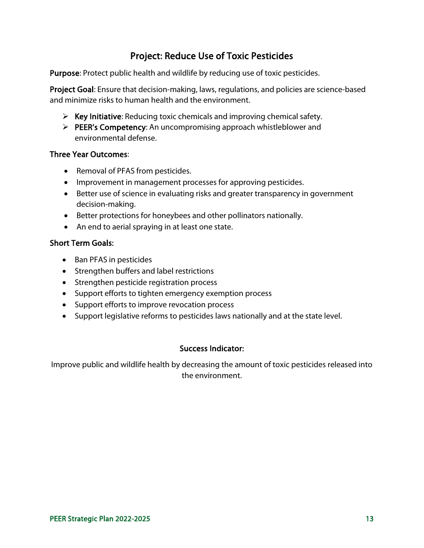# Project: Reduce Use of Toxic Pesticides

Purpose: Protect public health and wildlife by reducing use of toxic pesticides.

Project Goal: Ensure that decision-making, laws, regulations, and policies are science-based and minimize risks to human health and the environment.

- $\triangleright$  Key Initiative: Reducing toxic chemicals and improving chemical safety.
- PEER's Competency: An uncompromising approach whistleblower and environmental defense.

#### Three Year Outcomes:

- Removal of PFAS from pesticides.
- Improvement in management processes for approving pesticides.
- Better use of science in evaluating risks and greater transparency in government decision-making.
- Better protections for honeybees and other pollinators nationally.
- An end to aerial spraying in at least one state.

#### Short Term Goals:

- Ban PFAS in pesticides
- Strengthen buffers and label restrictions
- Strengthen pesticide registration process
- Support efforts to tighten emergency exemption process
- Support efforts to improve revocation process
- Support legislative reforms to pesticides laws nationally and at the state level.

#### Success Indicator:

Improve public and wildlife health by decreasing the amount of toxic pesticides released into the environment.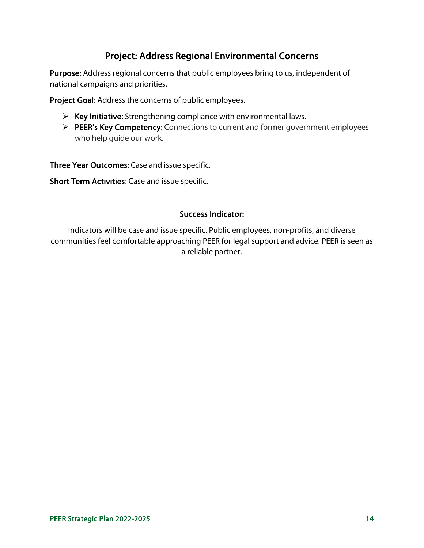# Project: Address Regional Environmental Concerns

Purpose: Address regional concerns that public employees bring to us, independent of national campaigns and priorities.

Project Goal: Address the concerns of public employees.

- $\triangleright$  Key Initiative: Strengthening compliance with environmental laws.
- PEER's Key Competency: Connections to current and former government employees who help guide our work.

Three Year Outcomes: Case and issue specific.

Short Term Activities: Case and issue specific.

#### Success Indicator:

Indicators will be case and issue specific. Public employees, non-profits, and diverse communities feel comfortable approaching PEER for legal support and advice. PEER is seen as a reliable partner.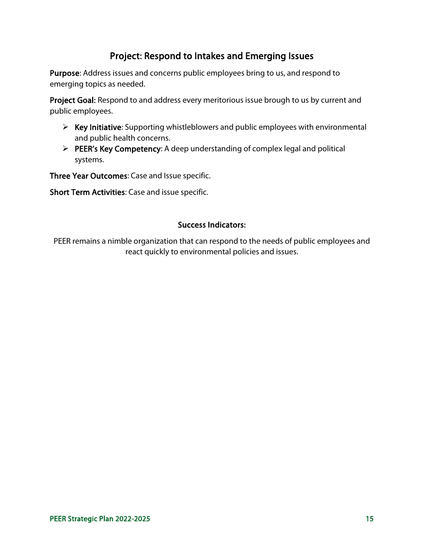### Project: Respond to Intakes and Emerging Issues

Purpose: Address issues and concerns public employees bring to us, and respond to emerging topics as needed.

Project Goal: Respond to and address every meritorious issue brough to us by current and public employees.

- $\triangleright$  Key Initiative: Supporting whistleblowers and public employees with environmental and public health concerns.
- $\triangleright$  PEER's Key Competency: A deep understanding of complex legal and political systems.

Three Year Outcomes: Case and Issue specific.

Short Term Activities: Case and issue specific.

#### Success Indicators:

PEER remains a nimble organization that can respond to the needs of public employees and react quickly to environmental policies and issues.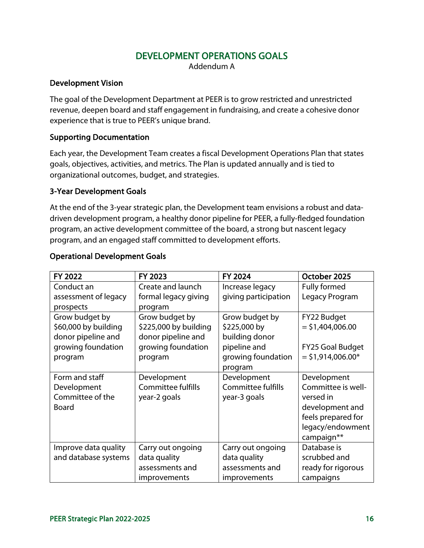### DEVELOPMENT OPERATIONS GOALS

Addendum A

#### Development Vision

The goal of the Development Department at PEER is to grow restricted and unrestricted revenue, deepen board and staff engagement in fundraising, and create a cohesive donor experience that is true to PEER's unique brand.

#### Supporting Documentation

Each year, the Development Team creates a fiscal Development Operations Plan that states goals, objectives, activities, and metrics. The Plan is updated annually and is tied to organizational outcomes, budget, and strategies.

#### 3-Year Development Goals

At the end of the 3-year strategic plan, the Development team envisions a robust and datadriven development program, a healthy donor pipeline for PEER, a fully-fledged foundation program, an active development committee of the board, a strong but nascent legacy program, and an engaged staff committed to development efforts.

| FY 2022              | FY 2023                   | FY 2024              | October 2025            |
|----------------------|---------------------------|----------------------|-------------------------|
| Conduct an           | Create and launch         | Increase legacy      | Fully formed            |
| assessment of legacy | formal legacy giving      | giving participation | Legacy Program          |
| prospects            | program                   |                      |                         |
| Grow budget by       | Grow budget by            | Grow budget by       | FY22 Budget             |
| \$60,000 by building | \$225,000 by building     | \$225,000 by         | $=$ \$1,404,006.00      |
| donor pipeline and   | donor pipeline and        | building donor       |                         |
| growing foundation   | growing foundation        | pipeline and         | <b>FY25 Goal Budget</b> |
| program              | program                   | growing foundation   | $=$ \$1,914,006.00*     |
|                      |                           | program              |                         |
| Form and staff       | Development               | Development          | Development             |
| Development          | <b>Committee fulfills</b> | Committee fulfills   | Committee is well-      |
| Committee of the     | year-2 goals              | year-3 goals         | versed in               |
| <b>Board</b>         |                           |                      | development and         |
|                      |                           |                      | feels prepared for      |
|                      |                           |                      | legacy/endowment        |
|                      |                           |                      | campaign**              |
| Improve data quality | Carry out ongoing         | Carry out ongoing    | Database is             |
| and database systems | data quality              | data quality         | scrubbed and            |
|                      | assessments and           | assessments and      | ready for rigorous      |
|                      | improvements              | improvements         | campaigns               |

#### Operational Development Goals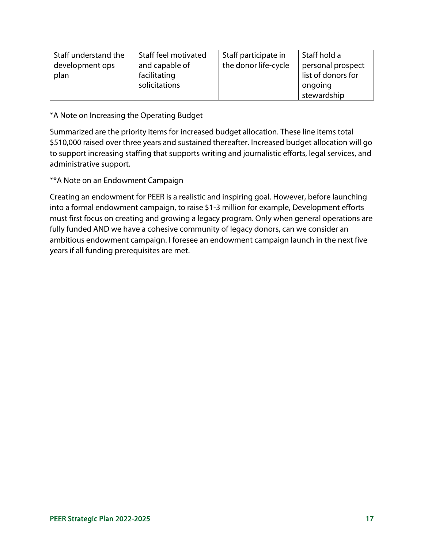| Staff understand the<br>development ops<br>plan | Staff feel motivated<br>and capable of<br>facilitating | Staff participate in<br>the donor life-cycle | Staff hold a<br>personal prospect<br>list of donors for |
|-------------------------------------------------|--------------------------------------------------------|----------------------------------------------|---------------------------------------------------------|
|                                                 | solicitations                                          |                                              | ongoing<br>stewardship                                  |

\*A Note on Increasing the Operating Budget

Summarized are the priority items for increased budget allocation. These line items total \$510,000 raised over three years and sustained thereafter. Increased budget allocation will go to support increasing staffing that supports writing and journalistic efforts, legal services, and administrative support.

\*\*A Note on an Endowment Campaign

Creating an endowment for PEER is a realistic and inspiring goal. However, before launching into a formal endowment campaign, to raise \$1-3 million for example, Development efforts must first focus on creating and growing a legacy program. Only when general operations are fully funded AND we have a cohesive community of legacy donors, can we consider an ambitious endowment campaign. I foresee an endowment campaign launch in the next five years if all funding prerequisites are met.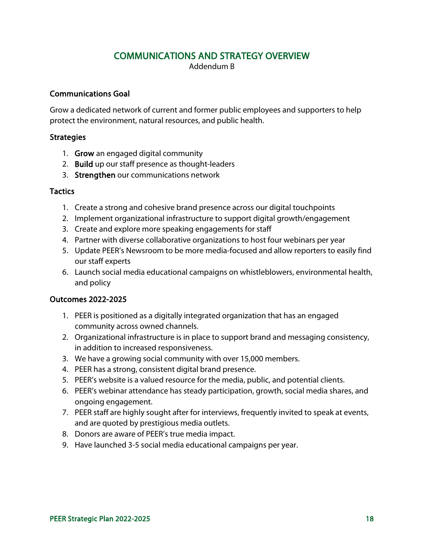### COMMUNICATIONS AND STRATEGY OVERVIEW

Addendum B

#### Communications Goal

Grow a dedicated network of current and former public employees and supporters to help protect the environment, natural resources, and public health.

#### **Strategies**

- 1. Grow an engaged digital community
- 2. Build up our staff presence as thought-leaders
- 3. Strengthen our communications network

#### **Tactics**

- 1. Create a strong and cohesive brand presence across our digital touchpoints
- 2. Implement organizational infrastructure to support digital growth/engagement
- 3. Create and explore more speaking engagements for staff
- 4. Partner with diverse collaborative organizations to host four webinars per year
- 5. Update PEER's Newsroom to be more media-focused and allow reporters to easily find our staff experts
- 6. Launch social media educational campaigns on whistleblowers, environmental health, and policy

#### Outcomes 2022-2025

- 1. PEER is positioned as a digitally integrated organization that has an engaged community across owned channels.
- 2. Organizational infrastructure is in place to support brand and messaging consistency, in addition to increased responsiveness.
- 3. We have a growing social community with over 15,000 members.
- 4. PEER has a strong, consistent digital brand presence.
- 5. PEER's website is a valued resource for the media, public, and potential clients.
- 6. PEER's webinar attendance has steady participation, growth, social media shares, and ongoing engagement.
- 7. PEER staff are highly sought after for interviews, frequently invited to speak at events, and are quoted by prestigious media outlets.
- 8. Donors are aware of PEER's true media impact.
- 9. Have launched 3-5 social media educational campaigns per year.